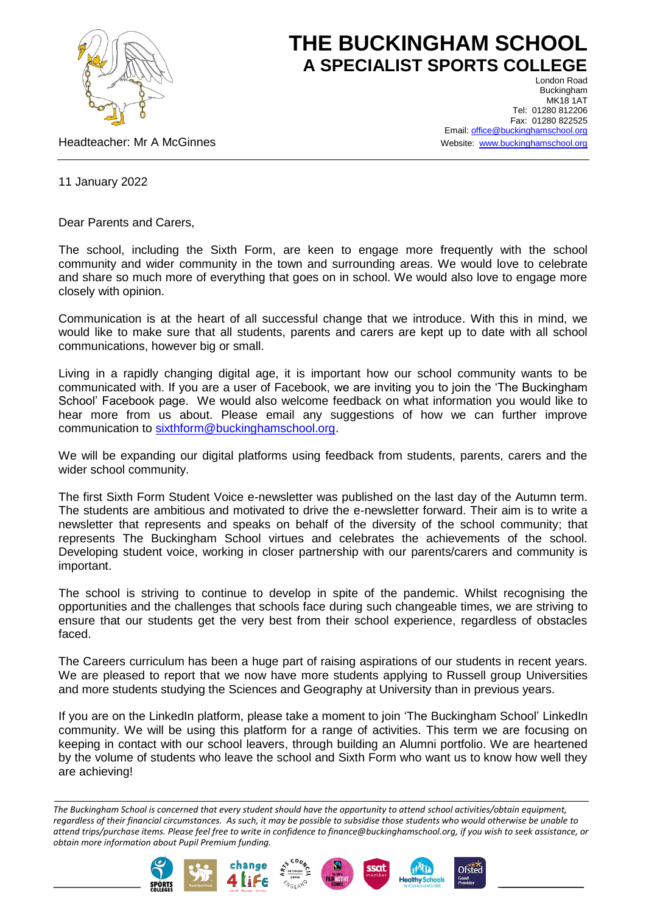

## **THE BUCKINGHAM SCHOOL A SPECIALIST SPORTS COLLEGE**

Headteacher: Mr A McGinnes

London Road Buckingham MK18 1AT Tel: 01280 812206 Fax: 01280 822525 Email[: office@buckinghamschool.org](mailto:office@buckinghamschool.org) Website: [www.buckinghamschool.org](http://www.buckinghamschool.org/)

11 January 2022

Dear Parents and Carers,

The school, including the Sixth Form, are keen to engage more frequently with the school community and wider community in the town and surrounding areas. We would love to celebrate and share so much more of everything that goes on in school. We would also love to engage more closely with opinion.

Communication is at the heart of all successful change that we introduce. With this in mind, we would like to make sure that all students, parents and carers are kept up to date with all school communications, however big or small.

Living in a rapidly changing digital age, it is important how our school community wants to be communicated with. If you are a user of Facebook, we are inviting you to join the 'The Buckingham School' Facebook page. We would also welcome feedback on what information you would like to hear more from us about. Please email any suggestions of how we can further improve communication to [sixthform@buckinghamschool.org.](mailto:sixthform@buckinghamschool.org)

We will be expanding our digital platforms using feedback from students, parents, carers and the wider school community.

The first Sixth Form Student Voice e-newsletter was published on the last day of the Autumn term. The students are ambitious and motivated to drive the e-newsletter forward. Their aim is to write a newsletter that represents and speaks on behalf of the diversity of the school community; that represents The Buckingham School virtues and celebrates the achievements of the school. Developing student voice, working in closer partnership with our parents/carers and community is important.

The school is striving to continue to develop in spite of the pandemic. Whilst recognising the opportunities and the challenges that schools face during such changeable times, we are striving to ensure that our students get the very best from their school experience, regardless of obstacles faced.

The Careers curriculum has been a huge part of raising aspirations of our students in recent years. We are pleased to report that we now have more students applying to Russell group Universities and more students studying the Sciences and Geography at University than in previous years.

If you are on the LinkedIn platform, please take a moment to join 'The Buckingham School' LinkedIn community. We will be using this platform for a range of activities. This term we are focusing on keeping in contact with our school leavers, through building an Alumni portfolio. We are heartened by the volume of students who leave the school and Sixth Form who want us to know how well they are achieving!

*The Buckingham School is concerned that every student should have the opportunity to attend school activities/obtain equipment, regardless of their financial circumstances. As such, it may be possible to subsidise those students who would otherwise be unable to attend trips/purchase items. Please feel free to write in confidence to finance@buckinghamschool.org, if you wish to seek assistance, or obtain more information about Pupil Premium funding.*